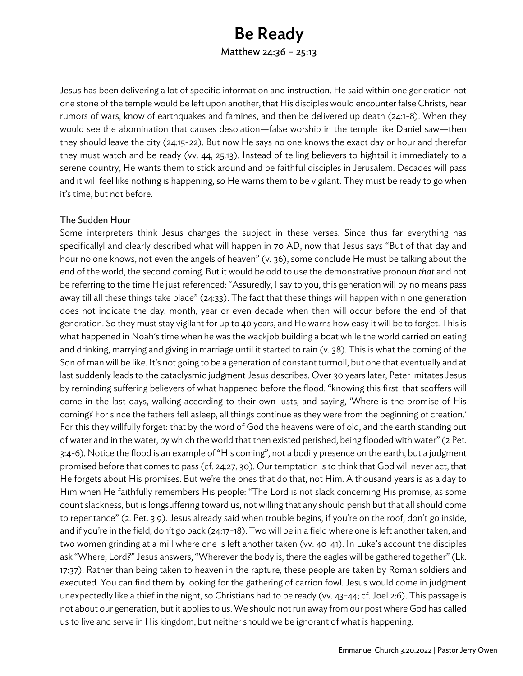# Be Ready

Matthew 24:36 – 25:13

Jesus has been delivering a lot of specific information and instruction. He said within one generation not one stone of the temple would be left upon another, that His disciples would encounter false Christs, hear rumors of wars, know of earthquakes and famines, and then be delivered up death (24:1-8). When they would see the abomination that causes desolation—false worship in the temple like Daniel saw—then they should leave the city (24:15-22). But now He says no one knows the exact day or hour and therefor they must watch and be ready (vv. 44, 25:13). Instead of telling believers to hightail it immediately to a serene country, He wants them to stick around and be faithful disciples in Jerusalem. Decades will pass and it will feel like nothing is happening, so He warns them to be vigilant. They must be ready to go when it's time, but not before.

### The Sudden Hour

Some interpreters think Jesus changes the subject in these verses. Since thus far everything has specificallyl and clearly described what will happen in 70 AD, now that Jesus says "But of that day and hour no one knows, not even the angels of heaven" (v. 36), some conclude He must be talking about the end of the world, the second coming. But it would be odd to use the demonstrative pronoun *that* and not be referring to the time He just referenced: "Assuredly, I say to you, this generation will by no means pass away till all these things take place" (24:33). The fact that these things will happen within one generation does not indicate the day, month, year or even decade when then will occur before the end of that generation. So they must stay vigilant for up to 40 years, and He warns how easy it will be to forget. This is what happened in Noah's time when he was the wackjob building a boat while the world carried on eating and drinking, marrying and giving in marriage until it started to rain (v. 38). This is what the coming of the Son of man will be like. It's not going to be a generation of constant turmoil, but one that eventually and at last suddenly leads to the cataclysmic judgment Jesus describes. Over 30 years later, Peter imitates Jesus by reminding suffering believers of what happened before the flood: "knowing this first: that scoffers will come in the last days, walking according to their own lusts, and saying, 'Where is the promise of His coming? For since the fathers fell asleep, all things continue as they were from the beginning of creation.' For this they willfully forget: that by the word of God the heavens were of old, and the earth standing out of water and in the water, by which the world that then existed perished, being flooded with water" (2 Pet. 3:4-6). Notice the flood is an example of "His coming", not a bodily presence on the earth, but a judgment promised before that comes to pass (cf. 24:27, 30). Our temptation is to think that God will never act, that He forgets about His promises. But we're the ones that do that, not Him. A thousand years is as a day to Him when He faithfully remembers His people: "The Lord is not slack concerning His promise, as some count slackness, but is longsuffering toward us, not willing that any should perish but that all should come to repentance" (2. Pet. 3:9). Jesus already said when trouble begins, if you're on the roof, don't go inside, and if you're in the field, don't go back (24:17-18). Two will be in a field where one is left another taken, and two women grinding at a mill where one is left another taken (vv. 40-41). In Luke's account the disciples ask "Where, Lord?" Jesus answers, "Wherever the body is, there the eagles will be gathered together" (Lk. 17:37). Rather than being taken to heaven in the rapture, these people are taken by Roman soldiers and executed. You can find them by looking for the gathering of carrion fowl. Jesus would come in judgment unexpectedly like a thief in the night, so Christians had to be ready (vv. 43-44; cf. Joel 2:6). This passage is not about our generation, but it applies to us. We should not run away from our post where God has called us to live and serve in His kingdom, but neither should we be ignorant of what is happening.